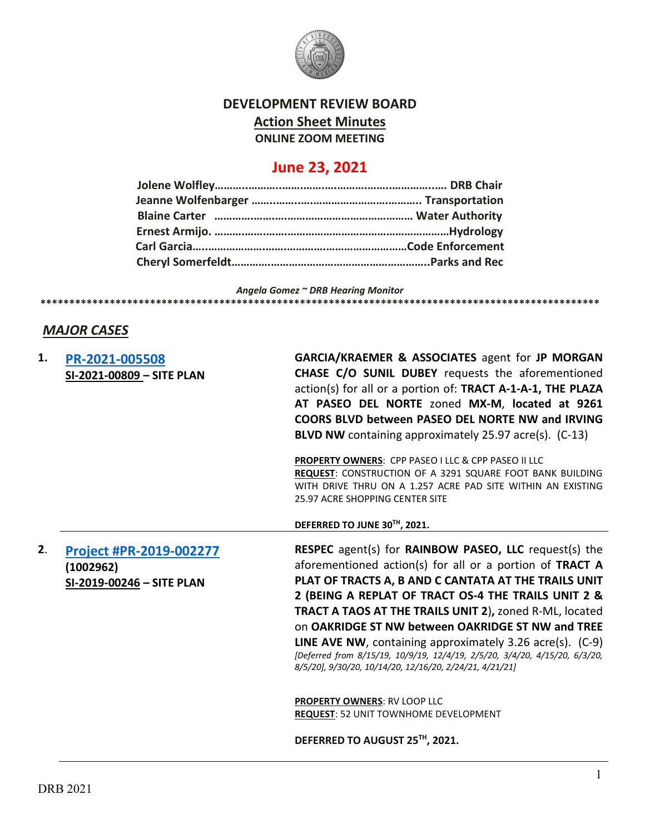

# **DEVELOPMENT REVIEW BOARD Action Sheet Minutes ONLINE ZOOM MEETING**

# **June 23, 2021**

*Angela Gomez ~ DRB Hearing Monitor* **\*\*\*\*\*\*\*\*\*\*\*\*\*\*\*\*\*\*\*\*\*\*\*\*\*\*\*\*\*\*\*\*\*\*\*\*\*\*\*\*\*\*\*\*\*\*\*\*\*\*\*\*\*\*\*\*\*\*\*\*\*\*\*\*\*\*\*\*\*\*\*\*\*\*\*\*\*\*\*\*\*\*\*\*\*\*\*\*\*\*\*\*\*\*\*\*\***

## *MAJOR CASES*

| 1. | PR-2021-005508<br>SI-2021-00809 - SITE PLAN                       | GARCIA/KRAEMER & ASSOCIATES agent for JP MORGAN<br>CHASE C/O SUNIL DUBEY requests the aforementioned<br>action(s) for all or a portion of: TRACT A-1-A-1, THE PLAZA<br>AT PASEO DEL NORTE zoned MX-M, located at 9261<br><b>COORS BLVD between PASEO DEL NORTE NW and IRVING</b><br><b>BLVD NW</b> containing approximately 25.97 acre(s). (C-13)                                                                                                                                                                                                                           |
|----|-------------------------------------------------------------------|-----------------------------------------------------------------------------------------------------------------------------------------------------------------------------------------------------------------------------------------------------------------------------------------------------------------------------------------------------------------------------------------------------------------------------------------------------------------------------------------------------------------------------------------------------------------------------|
|    |                                                                   | PROPERTY OWNERS: CPP PASEO I LLC & CPP PASEO II LLC<br>REQUEST: CONSTRUCTION OF A 3291 SQUARE FOOT BANK BUILDING<br>WITH DRIVE THRU ON A 1.257 ACRE PAD SITE WITHIN AN EXISTING<br>25.97 ACRE SHOPPING CENTER SITE                                                                                                                                                                                                                                                                                                                                                          |
|    |                                                                   | DEFERRED TO JUNE 30TH, 2021.                                                                                                                                                                                                                                                                                                                                                                                                                                                                                                                                                |
| 2. | Project #PR-2019-002277<br>(1002962)<br>SI-2019-00246 - SITE PLAN | <b>RESPEC</b> agent(s) for <b>RAINBOW PASEO, LLC</b> request(s) the<br>aforementioned action(s) for all or a portion of TRACT A<br>PLAT OF TRACTS A, B AND C CANTATA AT THE TRAILS UNIT<br>2 (BEING A REPLAT OF TRACT OS-4 THE TRAILS UNIT 2 &<br><b>TRACT A TAOS AT THE TRAILS UNIT 2), zoned R-ML, located</b><br>on OAKRIDGE ST NW between OAKRIDGE ST NW and TREE<br>LINE AVE NW, containing approximately 3.26 acre(s). (C-9)<br>[Deferred from 8/15/19, 10/9/19, 12/4/19, 2/5/20, 3/4/20, 4/15/20, 6/3/20,<br>8/5/20], 9/30/20, 10/14/20, 12/16/20, 2/24/21, 4/21/21] |
|    |                                                                   | PROPERTY OWNERS: RV LOOP LLC<br><b>REQUEST: 52 UNIT TOWNHOME DEVELOPMENT</b>                                                                                                                                                                                                                                                                                                                                                                                                                                                                                                |
|    |                                                                   | DEFERRED TO AUGUST 25TH, 2021.                                                                                                                                                                                                                                                                                                                                                                                                                                                                                                                                              |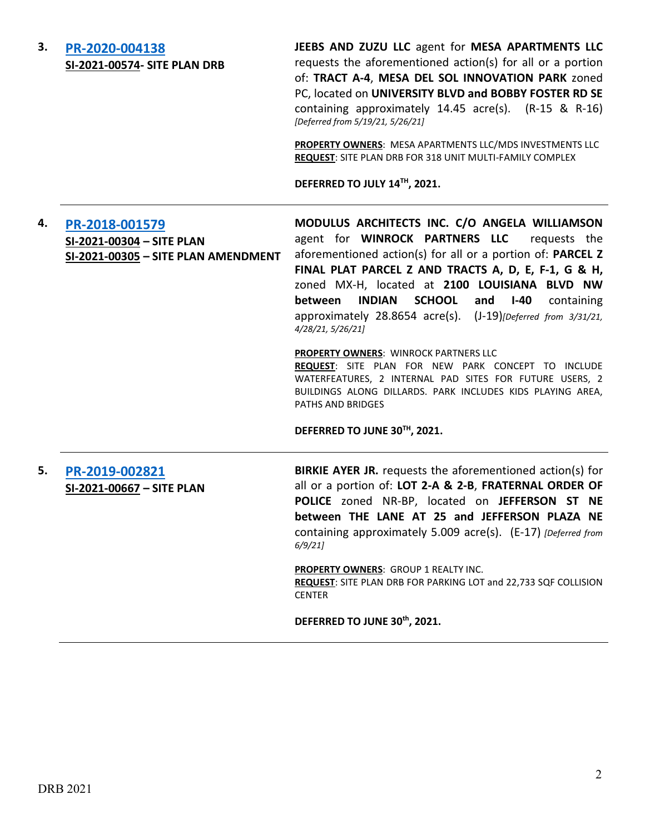# **3. [PR-2020-004138](http://data.cabq.gov/government/planning/DRB/PR-2020-004138/DRB%20Submittals/) SI-2021-00574- SITE PLAN DRB**

**JEEBS AND ZUZU LLC** agent for **MESA APARTMENTS LLC** requests the aforementioned action(s) for all or a portion of: **TRACT A-4**, **MESA DEL SOL INNOVATION PARK** zoned PC, located on **UNIVERSITY BLVD and BOBBY FOSTER RD SE** containing approximately 14.45 acre(s). (R-15 & R-16) *[Deferred from 5/19/21, 5/26/21]*

**PROPERTY OWNERS**: MESA APARTMENTS LLC/MDS INVESTMENTS LLC **REQUEST**: SITE PLAN DRB FOR 318 UNIT MULTI-FAMILY COMPLEX

**DEFERRED TO JULY 14TH, 2021.**

# **4. [PR-2018-001579](http://data.cabq.gov/government/planning/DRB/PR-2018-001579/DRB%20Submittals/) SI-2021-00304 – SITE PLAN SI-2021-00305 – SITE PLAN AMENDMENT**

**MODULUS ARCHITECTS INC. C/O ANGELA WILLIAMSON**  agent for **WINROCK PARTNERS LLC** requests the aforementioned action(s) for all or a portion of: **PARCEL Z FINAL PLAT PARCEL Z AND TRACTS A, D, E, F-1, G & H,**  zoned MX-H, located at **2100 LOUISIANA BLVD NW between INDIAN SCHOOL and I-40** containing approximately 28.8654 acre(s). (J-19)*[Deferred from 3/31/21, 4/28/21, 5/26/21]*

#### **PROPERTY OWNERS**: WINROCK PARTNERS LLC

**REQUEST**: SITE PLAN FOR NEW PARK CONCEPT TO INCLUDE WATERFEATURES, 2 INTERNAL PAD SITES FOR FUTURE USERS, 2 BUILDINGS ALONG DILLARDS. PARK INCLUDES KIDS PLAYING AREA, PATHS AND BRIDGES

#### **DEFERRED TO JUNE 30TH, 2021.**

### **5. [PR-2019-002821](http://data.cabq.gov/government/planning/DRB/PR-2019-002821/DRB%20Submittals/PR-2019-002821_June_9_2021/Application/SANDIA%20CC%20DRB%20PACKET%20rev5-07-21%20(1).pdf) SI-2021-00667 – SITE PLAN**

**BIRKIE AYER JR.** requests the aforementioned action(s) for all or a portion of: **LOT 2-A & 2-B**, **FRATERNAL ORDER OF POLICE** zoned NR-BP, located on **JEFFERSON ST NE between THE LANE AT 25 and JEFFERSON PLAZA NE** containing approximately 5.009 acre(s). (E-17) *[Deferred from 6/9/21]*

**PROPERTY OWNERS**: GROUP 1 REALTY INC. **REQUEST**: SITE PLAN DRB FOR PARKING LOT and 22,733 SQF COLLISION **CENTER** 

#### **DEFERRED TO JUNE 30th, 2021.**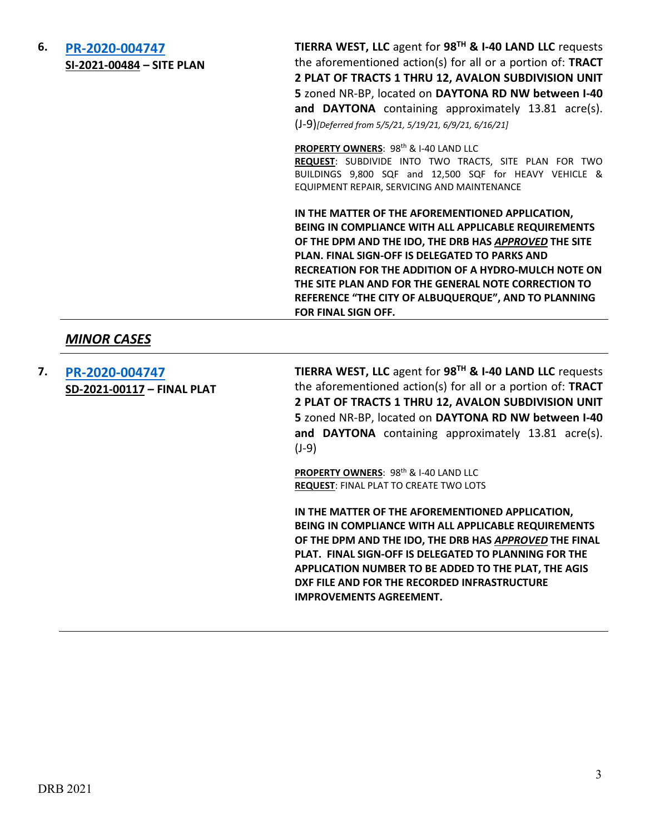| 6. | PR-2020-004747<br>SI-2021-00484 - SITE PLAN | TIERRA WEST, LLC agent for 98 <sup>TH</sup> & I-40 LAND LLC requests<br>the aforementioned action(s) for all or a portion of: TRACT<br>2 PLAT OF TRACTS 1 THRU 12, AVALON SUBDIVISION UNIT<br>5 zoned NR-BP, located on DAYTONA RD NW between I-40<br>and DAYTONA containing approximately 13.81 acre(s).<br>(J-9)[Deferred from 5/5/21, 5/19/21, 6/9/21, 6/16/21] |
|----|---------------------------------------------|--------------------------------------------------------------------------------------------------------------------------------------------------------------------------------------------------------------------------------------------------------------------------------------------------------------------------------------------------------------------|
|    |                                             | PROPERTY OWNERS: 98 <sup>th</sup> & I-40 LAND LLC<br>REQUEST: SUBDIVIDE INTO TWO TRACTS, SITE PLAN FOR TWO<br>BUILDINGS 9,800 SQF and 12,500 SQF for HEAVY VEHICLE &<br>EQUIPMENT REPAIR, SERVICING AND MAINTENANCE                                                                                                                                                |
|    |                                             | IN THE MATTER OF THE AFOREMENTIONED APPLICATION,<br>BEING IN COMPLIANCE WITH ALL APPLICABLE REQUIREMENTS<br>OF THE DPM AND THE IDO, THE DRB HAS APPROVED THE SITE<br><b>PLAN. FINAL SIGN-OFF IS DELEGATED TO PARKS AND</b>                                                                                                                                         |

**RECREATION FOR THE ADDITION OF A HYDRO-MULCH NOTE ON THE SITE PLAN AND FOR THE GENERAL NOTE CORRECTION TO REFERENCE "THE CITY OF ALBUQUERQUE", AND TO PLANNING FOR FINAL SIGN OFF.**

# *MINOR CASES*

| 7. | PR-2020-004747             | TIERRA WEST, LLC agent for 98TH & I-40 LAND LLC requests     |
|----|----------------------------|--------------------------------------------------------------|
|    | SD-2021-00117 - FINAL PLAT | the aforementioned action(s) for all or a portion of: TRACT  |
|    |                            | 2 PLAT OF TRACTS 1 THRU 12, AVALON SUBDIVISION UNIT          |
|    |                            | 5 zoned NR-BP, located on DAYTONA RD NW between I-40         |
|    |                            | and DAYTONA containing approximately 13.81 acre(s).          |
|    |                            | $(J-9)$                                                      |
|    |                            | PROPERTY OWNERS: 98 <sup>th</sup> & I-40 LAND LLC            |
|    |                            | <b>REQUEST: FINAL PLAT TO CREATE TWO LOTS</b>                |
|    |                            | IN THE MATTER OF THE AFOREMENTIONED APPLICATION,             |
|    |                            | BEING IN COMPLIANCE WITH ALL APPLICABLE REQUIREMENTS         |
|    |                            | OF THE DPM AND THE IDO, THE DRB HAS APPROVED THE FINAL       |
|    |                            | <b>PLAT. FINAL SIGN-OFF IS DELEGATED TO PLANNING FOR THE</b> |
|    |                            | APPLICATION NUMBER TO BE ADDED TO THE PLAT, THE AGIS         |
|    |                            | DXF FILE AND FOR THE RECORDED INFRASTRUCTURE                 |
|    |                            | <b>IMPROVEMENTS AGREEMENT.</b>                               |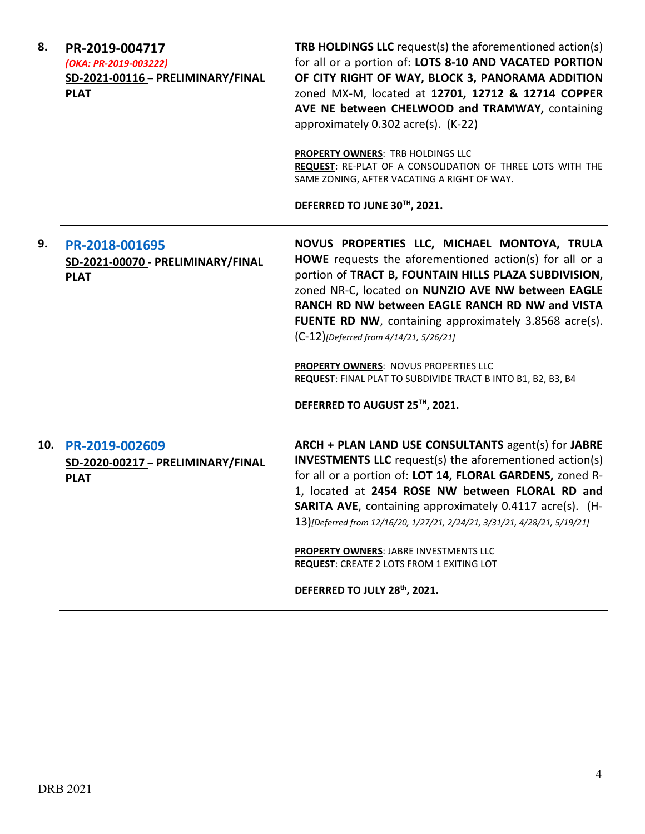| 8.  | PR-2019-004717<br>(OKA: PR-2019-003222)<br>SD-2021-00116 - PRELIMINARY/FINAL<br><b>PLAT</b> | <b>TRB HOLDINGS LLC</b> request(s) the aforementioned action(s)<br>for all or a portion of: LOTS 8-10 AND VACATED PORTION<br>OF CITY RIGHT OF WAY, BLOCK 3, PANORAMA ADDITION<br>zoned MX-M, located at 12701, 12712 & 12714 COPPER<br>AVE NE between CHELWOOD and TRAMWAY, containing<br>approximately 0.302 acre(s). (K-22)<br><b>PROPERTY OWNERS: TRB HOLDINGS LLC</b><br>REQUEST: RE-PLAT OF A CONSOLIDATION OF THREE LOTS WITH THE<br>SAME ZONING, AFTER VACATING A RIGHT OF WAY.<br>DEFERRED TO JUNE 30TH, 2021.   |
|-----|---------------------------------------------------------------------------------------------|--------------------------------------------------------------------------------------------------------------------------------------------------------------------------------------------------------------------------------------------------------------------------------------------------------------------------------------------------------------------------------------------------------------------------------------------------------------------------------------------------------------------------|
| 9.  | PR-2018-001695<br>SD-2021-00070 - PRELIMINARY/FINAL<br><b>PLAT</b>                          | NOVUS PROPERTIES LLC, MICHAEL MONTOYA, TRULA<br>HOWE requests the aforementioned action(s) for all or a<br>portion of TRACT B, FOUNTAIN HILLS PLAZA SUBDIVISION,<br>zoned NR-C, located on NUNZIO AVE NW between EAGLE<br>RANCH RD NW between EAGLE RANCH RD NW and VISTA<br>FUENTE RD NW, containing approximately 3.8568 acre(s).<br>(C-12)[Deferred from 4/14/21, 5/26/21]<br>PROPERTY OWNERS: NOVUS PROPERTIES LLC<br>REQUEST: FINAL PLAT TO SUBDIVIDE TRACT B INTO B1, B2, B3, B4<br>DEFERRED TO AUGUST 25TH, 2021. |
| 10. | PR-2019-002609<br>SD-2020-00217 - PRELIMINARY/FINAL<br><b>PLAT</b>                          | ARCH + PLAN LAND USE CONSULTANTS agent(s) for JABRE<br><b>INVESTMENTS LLC</b> request(s) the aforementioned action(s)<br>for all or a portion of: LOT 14, FLORAL GARDENS, zoned R-<br>1, located at 2454 ROSE NW between FLORAL RD and<br><b>SARITA AVE, containing approximately 0.4117 acre(s). (H-</b><br>13)[Deferred from 12/16/20, 1/27/21, 2/24/21, 3/31/21, 4/28/21, 5/19/21]<br>PROPERTY OWNERS: JABRE INVESTMENTS LLC<br><b>REQUEST: CREATE 2 LOTS FROM 1 EXITING LOT</b><br>DEFERRED TO JULY 28th, 2021.      |